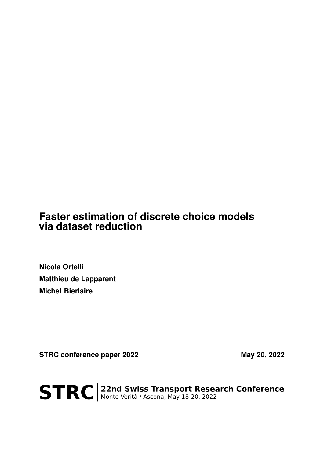# **Faster estimation of discrete choice models via dataset reduction**

**Nicola Ortelli Matthieu de Lapparent Michel Bierlaire**

STRC conference paper 2022 May 20, 2022

STRC | 22nd Swiss Transport Research Conference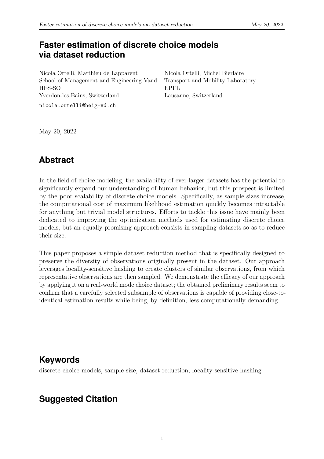### **Faster estimation of discrete choice models via dataset reduction**

Nicola Ortelli, Matthieu de Lapparent School of Management and Engineering Vaud HES-SO Yverdon-les-Bains, Switzerland

nicola.ortelli@heig-vd.ch

Nicola Ortelli, Michel Bierlaire Transport and Mobility Laboratory EPFL Lausanne, Switzerland

May 20, 2022

## **Abstract**

In the field of choice modeling, the availability of ever-larger datasets has the potential to significantly expand our understanding of human behavior, but this prospect is limited by the poor scalability of discrete choice models. Specifically, as sample sizes increase, the computational cost of maximum likelihood estimation quickly becomes intractable for anything but trivial model structures. Efforts to tackle this issue have mainly been dedicated to improving the optimization methods used for estimating discrete choice models, but an equally promising approach consists in sampling datasets so as to reduce their size.

This paper proposes a simple dataset reduction method that is specifically designed to preserve the diversity of observations originally present in the dataset. Our approach leverages locality-sensitive hashing to create clusters of similar observations, from which representative observations are then sampled. We demonstrate the efficacy of our approach by applying it on a real-world mode choice dataset; the obtained preliminary results seem to confirm that a carefully selected subsample of observations is capable of providing close-toidentical estimation results while being, by definition, less computationally demanding.

### **Keywords**

discrete choice models, sample size, dataset reduction, locality-sensitive hashing

# **Suggested Citation**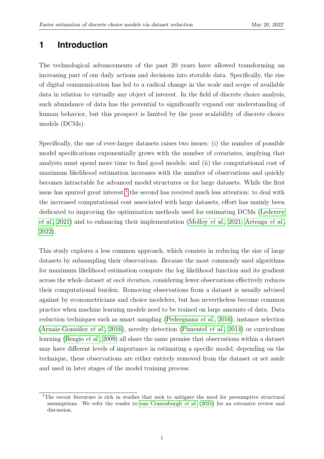### **1 Introduction**

The technological advancements of the past 20 years have allowed transforming an increasing part of our daily actions and decisions into storable data. Specifically, the rise of digital communication has led to a radical change in the scale and scope of available data in relation to virtually any object of interest. In the field of discrete choice analysis, such abundance of data has the potential to significantly expand our understanding of human behavior, but this prospect is limited by the poor scalability of discrete choice models (DCMs).

Specifically, the use of ever-larger datasets raises two issues: (i) the number of possible model specifications exponentially grows with the number of covariates, implying that analysts must spend more time to find good models; and (ii) the computational cost of maximum likelihood estimation increases with the number of observations and quickly becomes intractable for advanced model structures or for large datasets. While the first issue has spurred great interest,<sup>[1](#page-2-0)</sup> the second has received much less attention: to deal with the increased computational cost associated with large datasets, effort has mainly been dedicated to improving the optimization methods used for estimating DCMs [\(Lederrey](#page-13-0) [et al.](#page-13-0), [2021\)](#page-13-0) and to enhancing their implementation [\(Molloy](#page-13-1) et al., [2021;](#page-13-1) [Arteaga](#page-12-0) et al., [2022\)](#page-12-0).

This study explores a less common approach, which consists in reducing the size of large datasets by subsampling their observations. Because the most commonly used algorithms for maximum likelihood estimation compute the log likelihood function and its gradient across the whole dataset at each iteration, considering fewer observations effectively reduces their computational burden. Removing observations from a dataset is usually advised against by econometricians and choice modelers, but has nevertheless become common practice when machine learning models need to be trained on large amounts of data. Data reduction techniques such as smart sampling [\(Pedergnana](#page-13-2) et al., [2016\)](#page-13-2), instance selection [\(Arnaiz-González](#page-12-1) et al., [2016\)](#page-12-1), novelty detection [\(Pimentel](#page-13-3) et al., [2014\)](#page-13-3) or curriculum learning [\(Bengio](#page-12-2) et al., [2009\)](#page-12-2) all share the same premise that observations within a dataset may have different levels of importance in estimating a specific model; depending on the technique, these observations are either entirely removed from the dataset or set aside and used in later stages of the model training process.

<span id="page-2-0"></span><sup>&</sup>lt;sup>1</sup>The recent literature is rich in studies that seek to mitigate the need for presumptive structural assumptions. We refer the reader to [van Cranenburgh](#page-13-4) et al. [\(2021\)](#page-13-4) for an extensive review and discussion.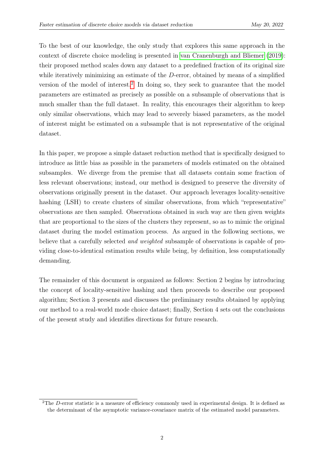To the best of our knowledge, the only study that explores this same approach in the context of discrete choice modeling is presented in [van Cranenburgh and Bliemer](#page-13-5) [\(2019\)](#page-13-5): their proposed method scales down any dataset to a predefined fraction of its original size while iteratively minimizing an estimate of the D-error, obtained by means of a simplified version of the model of interest.<sup>[2](#page-3-0)</sup> In doing so, they seek to guarantee that the model parameters are estimated as precisely as possible on a subsample of observations that is much smaller than the full dataset. In reality, this encourages their algorithm to keep only similar observations, which may lead to severely biased parameters, as the model of interest might be estimated on a subsample that is not representative of the original dataset.

In this paper, we propose a simple dataset reduction method that is specifically designed to introduce as little bias as possible in the parameters of models estimated on the obtained subsamples. We diverge from the premise that all datasets contain some fraction of less relevant observations; instead, our method is designed to preserve the diversity of observations originally present in the dataset. Our approach leverages locality-sensitive hashing (LSH) to create clusters of similar observations, from which "representative" observations are then sampled. Observations obtained in such way are then given weights that are proportional to the sizes of the clusters they represent, so as to mimic the original dataset during the model estimation process. As argued in the following sections, we believe that a carefully selected and weighted subsample of observations is capable of providing close-to-identical estimation results while being, by definition, less computationally demanding.

The remainder of this document is organized as follows: Section 2 begins by introducing the concept of locality-sensitive hashing and then proceeds to describe our proposed algorithm; Section 3 presents and discusses the preliminary results obtained by applying our method to a real-world mode choice dataset; finally, Section 4 sets out the conclusions of the present study and identifies directions for future research.

<span id="page-3-0"></span><sup>2</sup>The D-error statistic is a measure of efficiency commonly used in experimental design. It is defined as the determinant of the asymptotic variance-covariance matrix of the estimated model parameters.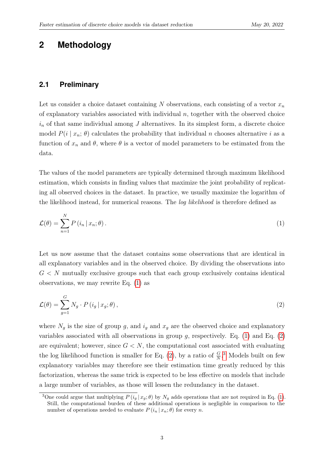### **2 Methodology**

#### **2.1 Preliminary**

Let us consider a choice dataset containing N observations, each consisting of a vector  $x_n$ of explanatory variables associated with individual  $n$ , together with the observed choice  $i_n$  of that same individual among  $J$  alternatives. In its simplest form, a discrete choice model  $P(i | x_n; \theta)$  calculates the probability that individual n chooses alternative i as a function of  $x_n$  and  $\theta$ , where  $\theta$  is a vector of model parameters to be estimated from the data.

The values of the model parameters are typically determined through maximum likelihood estimation, which consists in finding values that maximize the joint probability of replicating all observed choices in the dataset. In practice, we usually maximize the logarithm of the likelihood instead, for numerical reasons. The *log likelihood* is therefore defined as

<span id="page-4-0"></span>
$$
\mathcal{L}(\theta) = \sum_{n=1}^{N} P(i_n | x_n; \theta).
$$
 (1)

Let us now assume that the dataset contains some observations that are identical in all explanatory variables and in the observed choice. By dividing the observations into  $G < N$  mutually exclusive groups such that each group exclusively contains identical observations, we may rewrite Eq. [\(1\)](#page-4-0) as

<span id="page-4-1"></span>
$$
\mathcal{L}(\theta) = \sum_{g=1}^{G} N_g \cdot P(i_g | x_g; \theta), \qquad (2)
$$

where  $N_q$  is the size of group g, and  $i_q$  and  $x_q$  are the observed choice and explanatory variables associated with all observations in group  $g$ , respectively. Eq. [\(1\)](#page-4-0) and Eq. [\(2\)](#page-4-1) are equivalent; however, since  $G < N$ , the computational cost associated with evaluating the log likelihood function is smaller for Eq. [\(2\)](#page-4-1), by a ratio of  $\frac{G}{N}$ .<sup>[3](#page-4-2)</sup> Models built on few explanatory variables may therefore see their estimation time greatly reduced by this factorization, whereas the same trick is expected to be less effective on models that include a large number of variables, as those will lessen the redundancy in the dataset.

<span id="page-4-2"></span><sup>&</sup>lt;sup>3</sup>One could argue that multiplying  $P(i_g | x_g; \theta)$  by  $N_g$  adds operations that are not required in Eq. [\(1\)](#page-4-0). Still, the computational burden of these additional operations is negligible in comparison to the number of operations needed to evaluate  $P(i_n | x_n; \theta)$  for every n.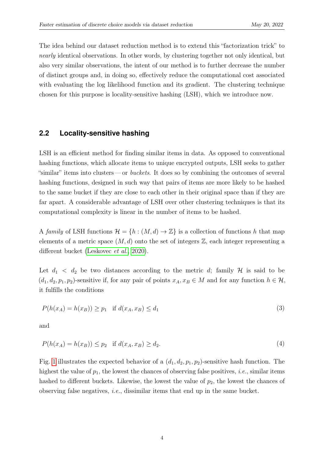The idea behind our dataset reduction method is to extend this "factorization trick" to nearly identical observations. In other words, by clustering together not only identical, but also very similar observations, the intent of our method is to further decrease the number of distinct groups and, in doing so, effectively reduce the computational cost associated with evaluating the log likelihood function and its gradient. The clustering technique chosen for this purpose is locality-sensitive hashing (LSH), which we introduce now.

#### <span id="page-5-0"></span>**2.2 Locality-sensitive hashing**

LSH is an efficient method for finding similar items in data. As opposed to conventional hashing functions, which allocate items to unique encrypted outputs, LSH seeks to gather "similar" items into clusters — or *buckets*. It does so by combining the outcomes of several hashing functions, designed in such way that pairs of items are more likely to be hashed to the same bucket if they are close to each other in their original space than if they are far apart. A considerable advantage of LSH over other clustering techniques is that its computational complexity is linear in the number of items to be hashed.

A family of LSH functions  $\mathcal{H} = \{h : (M, d) \to \mathbb{Z}\}\$ is a collection of functions h that map elements of a metric space  $(M, d)$  onto the set of integers  $\mathbb{Z}$ , each integer representing a different bucket [\(Leskovec](#page-13-6) et al., [2020\)](#page-13-6).

Let  $d_1 < d_2$  be two distances according to the metric d; family H is said to be  $(d_1, d_2, p_1, p_2)$ -sensitive if, for any pair of points  $x_A, x_B \in M$  and for any function  $h \in \mathcal{H}$ , it fulfills the conditions

$$
P(h(x_A) = h(x_B)) \ge p_1 \quad \text{if } d(x_A, x_B) \le d_1 \tag{3}
$$

and

$$
P(h(x_A) = h(x_B)) \le p_2 \quad \text{if } d(x_A, x_B) \ge d_2. \tag{4}
$$

Fig. [1](#page-6-0) illustrates the expected behavior of a  $(d_1, d_2, p_1, p_2)$ -sensitive hash function. The highest the value of  $p_1$ , the lowest the chances of observing false positives, *i.e.*, similar items hashed to different buckets. Likewise, the lowest the value of  $p_2$ , the lowest the chances of observing false negatives, *i.e.*, dissimilar items that end up in the same bucket.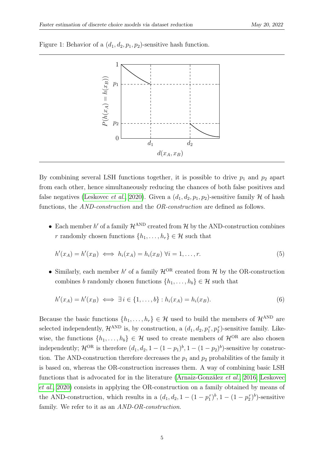

<span id="page-6-0"></span>Figure 1: Behavior of a  $(d_1, d_2, p_1, p_2)$ -sensitive hash function.

By combining several LSH functions together, it is possible to drive  $p_1$  and  $p_2$  apart from each other, hence simultaneously reducing the chances of both false positives and false negatives [\(Leskovec](#page-13-6) *et al.*, [2020\)](#page-13-6). Given a  $(d_1, d_2, p_1, p_2)$ -sensitive family H of hash functions, the AND-construction and the OR-construction are defined as follows.

• Each member  $h'$  of a family  $\mathcal{H}^{\text{AND}}$  created from  $\mathcal{H}$  by the AND-construction combines r randomly chosen functions  $\{h_1, \ldots, h_r\} \in \mathcal{H}$  such that

$$
h'(x_A) = h'(x_B) \iff h_i(x_A) = h_i(x_B) \; \forall i = 1, \dots, r. \tag{5}
$$

• Similarly, each member  $h'$  of a family  $\mathcal{H}^{OR}$  created from  $\mathcal{H}$  by the OR-construction combines b randomly chosen functions  $\{h_1, \ldots, h_b\} \in \mathcal{H}$  such that

$$
h'(x_A) = h'(x_B) \iff \exists i \in \{1, \dots, b\} : h_i(x_A) = h_i(x_B). \tag{6}
$$

Because the basic functions  $\{h_1, \ldots, h_r\} \in \mathcal{H}$  used to build the members of  $\mathcal{H}^{\text{AND}}$  are selected independently,  $\mathcal{H}^{\text{AND}}$  is, by construction, a  $(d_1, d_2, p_1^r, p_2^r)$ -sensitive family. Likewise, the functions  $\{h_1, \ldots, h_b\} \in \mathcal{H}$  used to create members of  $\mathcal{H}^{OR}$  are also chosen independently;  $\mathcal{H}^{\text{OR}}$  is therefore  $(d_1, d_2, 1 - (1 - p_1)^b, 1 - (1 - p_2)^b)$ -sensitive by construction. The AND-construction therefore decreases the  $p_1$  and  $p_2$  probabilities of the family it is based on, whereas the OR-construction increases them. A way of combining basic LSH functions that is advocated for in the literature [\(Arnaiz-González](#page-12-1) et al., [2016;](#page-12-1) [Leskovec](#page-13-6) [et al.](#page-13-6), [2020\)](#page-13-6) consists in applying the OR-construction on a family obtained by means of the AND-construction, which results in a  $(d_1, d_2, 1 - (1 - p_1^r)^b, 1 - (1 - p_2^r)^b)$ -sensitive family. We refer to it as an *AND-OR-construction*.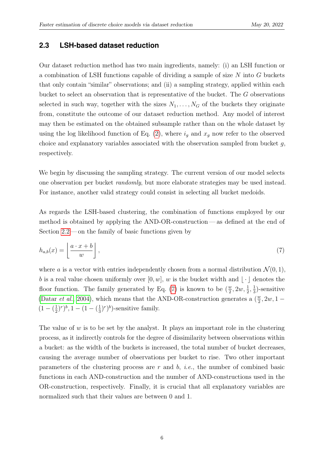#### **2.3 LSH-based dataset reduction**

Our dataset reduction method has two main ingredients, namely: (i) an LSH function or a combination of LSH functions capable of dividing a sample of size N into G buckets that only contain "similar" observations; and (ii) a sampling strategy, applied within each bucket to select an observation that is representative of the bucket. The G observations selected in such way, together with the sizes  $N_1, \ldots, N_G$  of the buckets they originate from, constitute the outcome of our dataset reduction method. Any model of interest may then be estimated on the obtained subsample rather than on the whole dataset by using the log likelihood function of Eq. [\(2\)](#page-4-1), where  $i_g$  and  $x_g$  now refer to the observed choice and explanatory variables associated with the observation sampled from bucket  $g$ , respectively.

We begin by discussing the sampling strategy. The current version of our model selects one observation per bucket randomly, but more elaborate strategies may be used instead. For instance, another valid strategy could consist in selecting all bucket medoids.

<span id="page-7-0"></span>As regards the LSH-based clustering, the combination of functions employed by our method is obtained by applying the AND-OR-construction— as defined at the end of Section [2.2](#page-5-0) — on the family of basic functions given by

$$
h_{a,b}(x) = \left\lfloor \frac{a \cdot x + b}{w} \right\rfloor, \tag{7}
$$

where a is a vector with entries independently chosen from a normal distribution  $\mathcal{N}(0,1)$ , b is a real value chosen uniformly over  $[0, w]$ , w is the bucket width and  $\vert \cdot \vert$  denotes the floor function. The family generated by Eq. [\(7\)](#page-7-0) is known to be  $(\frac{w}{2})$  $\frac{w}{2}$ , 2w,  $\frac{1}{2}$ ,  $\frac{1}{3}$  $\frac{1}{3}$ )-sensitive [\(Datar](#page-13-7) *et al.*, [2004\)](#page-13-7), which means that the AND-OR-construction generates a  $(\frac{w}{2})$  $\frac{w}{2}$ , 2w, 1 –  $(1 - (\frac{1}{2})$  $(\frac{1}{2})^r)^b$ , 1 –  $(1 - (\frac{1}{3})^r)$  $(\frac{1}{3})^r)^b$ )-sensitive family.

The value of  $w$  is to be set by the analyst. It plays an important role in the clustering process, as it indirectly controls for the degree of dissimilarity between observations within a bucket: as the width of the buckets is increased, the total number of bucket decreases, causing the average number of observations per bucket to rise. Two other important parameters of the clustering process are  $r$  and  $b$ , *i.e.*, the number of combined basic functions in each AND-construction and the number of AND-constructions used in the OR-construction, respectively. Finally, it is crucial that all explanatory variables are normalized such that their values are between 0 and 1.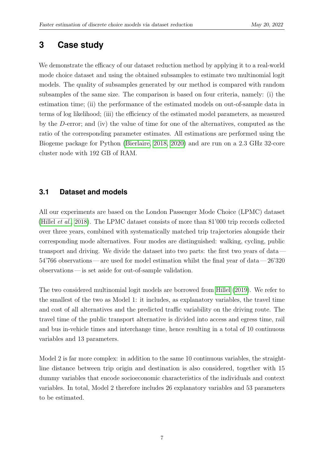### **3 Case study**

We demonstrate the efficacy of our dataset reduction method by applying it to a real-world mode choice dataset and using the obtained subsamples to estimate two multinomial logit models. The quality of subsamples generated by our method is compared with random subsamples of the same size. The comparison is based on four criteria, namely: (i) the estimation time; (ii) the performance of the estimated models on out-of-sample data in terms of log likelihood; (iii) the efficiency of the estimated model parameters, as measured by the D-error; and (iv) the value of time for one of the alternatives, computed as the ratio of the corresponding parameter estimates. All estimations are performed using the Biogeme package for Python [\(Bierlaire, 2018,](#page-13-8) [2020\)](#page-13-9) and are run on a 2.3 GHz 32-core cluster node with 192 GB of RAM.

#### **3.1 Dataset and models**

All our experiments are based on the London Passenger Mode Choice (LPMC) dataset [\(Hillel](#page-13-10) et al., [2018\)](#page-13-10). The LPMC dataset consists of more than 81'000 trip records collected over three years, combined with systematically matched trip trajectories alongside their corresponding mode alternatives. Four modes are distinguished: walking, cycling, public transport and driving. We divide the dataset into two parts: the first two years of data — 54'766 observations — are used for model estimation whilst the final year of data — 26'320 observations — is set aside for out-of-sample validation.

The two considered multinomial logit models are borrowed from [Hillel](#page-13-11) [\(2019\)](#page-13-11). We refer to the smallest of the two as Model 1: it includes, as explanatory variables, the travel time and cost of all alternatives and the predicted traffic variability on the driving route. The travel time of the public transport alternative is divided into access and egress time, rail and bus in-vehicle times and interchange time, hence resulting in a total of 10 continuous variables and 13 parameters.

Model 2 is far more complex: in addition to the same 10 continuous variables, the straightline distance between trip origin and destination is also considered, together with 15 dummy variables that encode socioeconomic characteristics of the individuals and context variables. In total, Model 2 therefore includes 26 explanatory variables and 53 parameters to be estimated.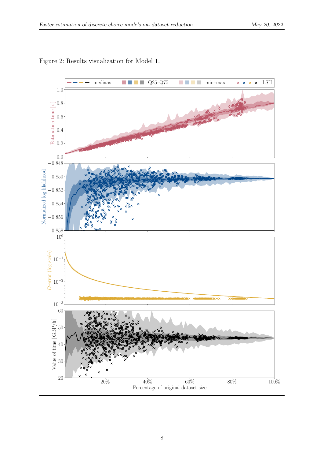<span id="page-9-0"></span>

Figure 2: Results visualization for Model 1.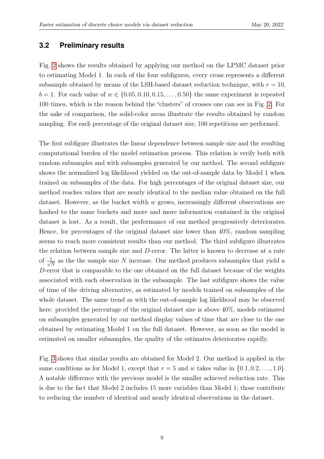#### **3.2 Preliminary results**

Fig. [2](#page-9-0) shows the results obtained by applying our method on the LPMC dataset prior to estimating Model 1. In each of the four subfigures, every cross represents a different subsample obtained by means of the LSH-based dataset reduction technique, with  $r = 10$ ,  $b = 1$ . For each value of  $w \in \{0.05, 0.10, 0.15, \ldots, 0.50\}$  the same experiment is repeated 100 times, which is the reason behind the "clusters" of crosses one can see in Fig. [2.](#page-9-0) For the sake of comparison, the solid-color areas illustrate the results obtained by random sampling. For each percentage of the original dataset size, 100 repetitions are performed.

The first subfigure illustrates the linear dependence between sample size and the resulting computational burden of the model estimation process. This relation is verify both with random subsamples and with subsamples generated by our method. The second subfigure shows the normalized log likelihood yielded on the out-of-sample data by Model 1 when trained on subsamples of the data. For high percentages of the original dataset size, our method reaches values that are nearly identical to the median value obtained on the full dataset. However, as the bucket width w grows, increasingly different observations are hashed to the same buckets and more and more information contained in the original dataset is lost. As a result, the performance of our method progressively deteriorates. Hence, for percentages of the original dataset size lower than 40%, random sampling seems to reach more consistent results than our method. The third subfigure illustrates the relation between sample size and D-error. The latter is known to decrease at a rate of  $\frac{1}{\sqrt{2}}$  $\frac{1}{N}$  as the the sample size N increase. Our method produces subsamples that yield a D-error that is comparable to the one obtained on the full dataset because of the weights associated with each observation in the subsample. The last subfigure shows the value of time of the driving alternative, as estimated by models trained on subsamples of the whole dataset. The same trend as with the out-of-sample log likelihood may be observed here: provided the percentage of the original dataset size is above 40\%, models estimated on subsamples generated by our method display values of time that are close to the one obtained by estimating Model 1 on the full dataset. However, as soon as the model is estimated on smaller subsamples, the quality of the estimates deteriorates rapidly.

Fig. [3](#page-11-0) shows that similar results are obtained for Model 2. Our method is applied in the same conditions as for Model 1, except that  $r = 5$  and w takes value in  $\{0.1, 0.2, \ldots, 1.0\}$ . A notable difference with the previous model is the smaller achieved reduction rate. This is due to the fact that Model 2 includes 15 more variables than Model 1; those contribute to reducing the number of identical and nearly identical observations in the dataset.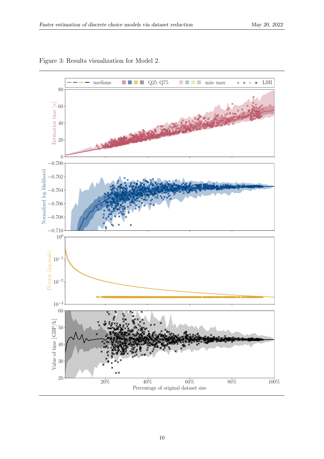<span id="page-11-0"></span>

Figure 3: Results visualization for Model 2.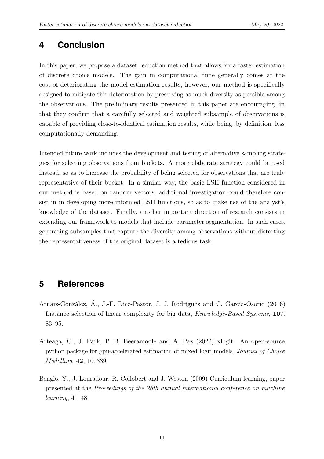### **4 Conclusion**

In this paper, we propose a dataset reduction method that allows for a faster estimation of discrete choice models. The gain in computational time generally comes at the cost of deteriorating the model estimation results; however, our method is specifically designed to mitigate this deterioration by preserving as much diversity as possible among the observations. The preliminary results presented in this paper are encouraging, in that they confirm that a carefully selected and weighted subsample of observations is capable of providing close-to-identical estimation results, while being, by definition, less computationally demanding.

Intended future work includes the development and testing of alternative sampling strategies for selecting observations from buckets. A more elaborate strategy could be used instead, so as to increase the probability of being selected for observations that are truly representative of their bucket. In a similar way, the basic LSH function considered in our method is based on random vectors; additional investigation could therefore consist in in developing more informed LSH functions, so as to make use of the analyst's knowledge of the dataset. Finally, another important direction of research consists in extending our framework to models that include parameter segmentation. In such cases, generating subsamples that capture the diversity among observations without distorting the representativeness of the original dataset is a tedious task.

### **5 References**

- <span id="page-12-1"></span>Arnaiz-González, Á., J.-F. Díez-Pastor, J. J. Rodríguez and C. García-Osorio (2016) Instance selection of linear complexity for big data, Knowledge-Based Systems, 107, 83–95.
- <span id="page-12-0"></span>Arteaga, C., J. Park, P. B. Beeramoole and A. Paz (2022) xlogit: An open-source python package for gpu-accelerated estimation of mixed logit models, Journal of Choice Modelling, 42, 100339.
- <span id="page-12-2"></span>Bengio, Y., J. Louradour, R. Collobert and J. Weston (2009) Curriculum learning, paper presented at the Proceedings of the 26th annual international conference on machine learning, 41–48.